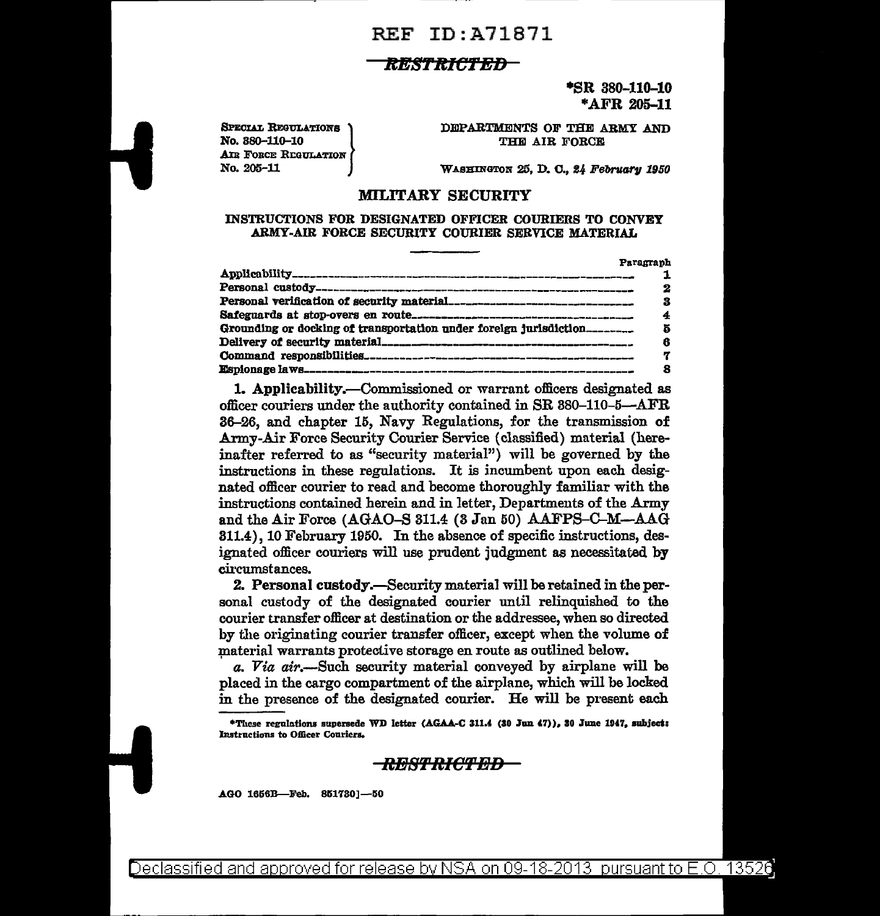## **REF ID:A71871**

### RESTRICTED-

\*SR 380-110-10 \*AFR 205-11

**SPECIAL REGULATIONS** No. 880-110-10 AIR FORCE REGULATION No. 205-11

DEPARTMENTS OF THE ARMY AND THE AIR FORCE

WASHINGTON 25, D. C., 24 February 1950

#### **MILITARY SECURITY**

#### INSTRUCTIONS FOR DESIGNATED OFFICER COURIERS TO CONVEY ARMY-AIR FORCE SECURITY COURIER SERVICE MATERIAL

|                                                                   | Paragraph |
|-------------------------------------------------------------------|-----------|
|                                                                   |           |
|                                                                   | 2         |
|                                                                   |           |
|                                                                   |           |
| Grounding or docking of transportation under foreign jurisdiction | Б         |
|                                                                   | 8         |
|                                                                   |           |
|                                                                   |           |

1. Applicability.—Commissioned or warrant officers designated as officer couriers under the authority contained in SR 380-110-5-AFR 36-26, and chapter 15, Navy Regulations, for the transmission of Army-Air Force Security Courier Service (classified) material (hereinafter referred to as "security material") will be governed by the instructions in these regulations. It is incumbent upon each designated officer courier to read and become thoroughly familiar with the instructions contained herein and in letter, Departments of the Army and the Air Force (AGAO-S 311.4 (3 Jan 50) AAFPS-C-M--AAG 311.4), 10 February 1950. In the absence of specific instructions, designated officer couriers will use prudent judgment as necessitated by circumstances.

2. Personal custody.—Security material will be retained in the personal custody of the designated courier until relinquished to the courier transfer officer at destination or the addressee, when so directed by the originating courier transfer officer, except when the volume of material warrants protective storage en route as outlined below.

a. Via air.—Such security material conveyed by airplane will be placed in the cargo compartment of the airplane, which will be locked in the presence of the designated courier. He will be present each

\*These regulations supersede WD letter (AGAA-C 311.4 (30 Jun 47)), 30 June 1947, subject: **Instructions to Officer Couriers.** 

### <del>RESTRICTED -</del>

AGO 1656B-Feb. 851730]-50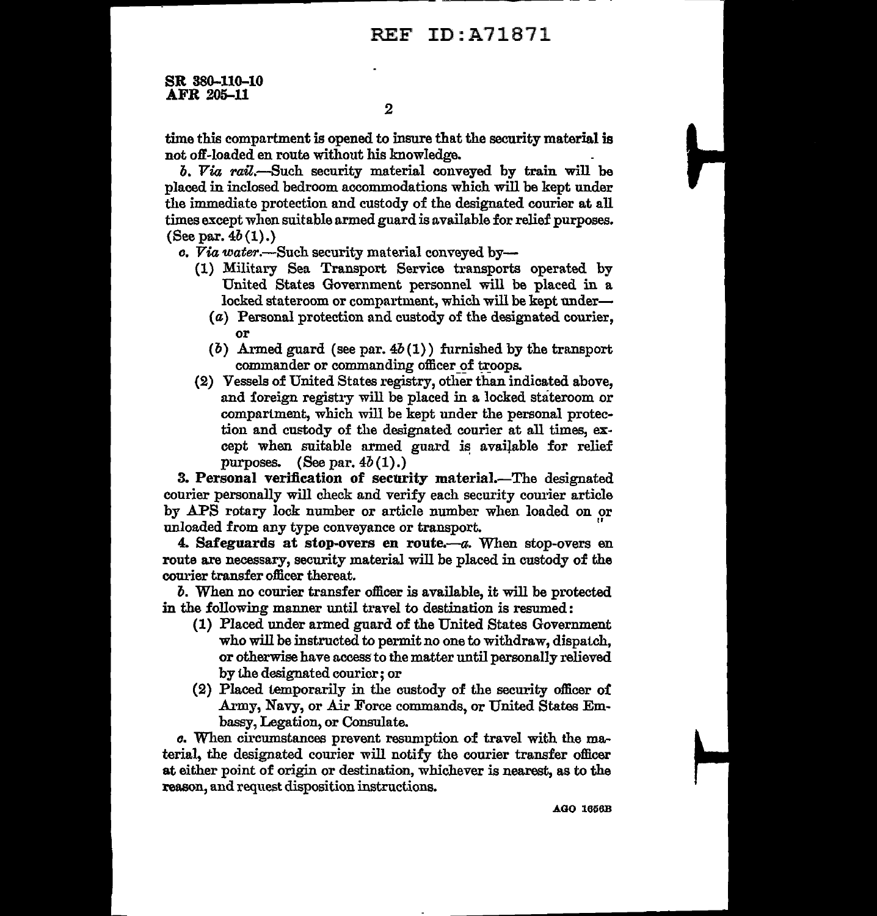# REF ID:A71871

SR 380-110-10 AFR 205-11

time this compartment is opened to insure that the security material is not off-loaded en route without his knowledge.

*b. Via rail.-Such* security material conveyed by train will be placed in inclosed bedroom accommodations which will be kept under the immediate protection and custody of the designated courier at all times except when suitable armed guard is available for relief purposes. (See par.  $4b(1)$ .)

*o. Via water.-Such* security material conveyed by-

- (1) Military Sea Transport Service transports operated by United States Government personnel will be placed in a locked stateroom or compartment, which will be kept under-
	- ( a) Personal protection and custody of the designated courier, or
	- (b) Armed guard (see par.  $4b(1)$ ) furnished by the transport commander or commanding officer of troops.
- (2) Vessels of United States registry, other than indicated above, and foreign registry will be placed in a locked stateroom or compartment, which will be kept under the personal protection and custody of the designated courier at all times, except when suitable armed guard is available for relief purposes.  $(See par. 4b(1).)$

3. Personal verification of security material.—The designated courier personally will check and verify each security courier article by APS rotary lock number or article number when loaded on or unloaded from any type conveyance or transport.

4. Safeguards at stop-overs en route. $-a$ . When stop-overs en route are necessary, security material will be placed in custody of the courier transfer officer thereat.

*b.* When no courier transfer officer is available, it will be protected in the following manner until travel to destination is resumed:

- {l) Placed under armed guard of the United States Government who will be instructed to permit no one to withdraw, dispatch, or otherwise have access to the matter until personally relieved by the designated courier; or
- {2) Placed temporarily in the custody of the security officer oi .Army, Navy, or Air Force commands, or United States Embassy, Legation, or Consulate.

*o.* When circumstances prevent resumption of travel with the material, the designated courier will notify the courier transfer officer at either point of origin or destination, whichever is nearest, as to the reason, and request disposition instructions.

A.GO 1656B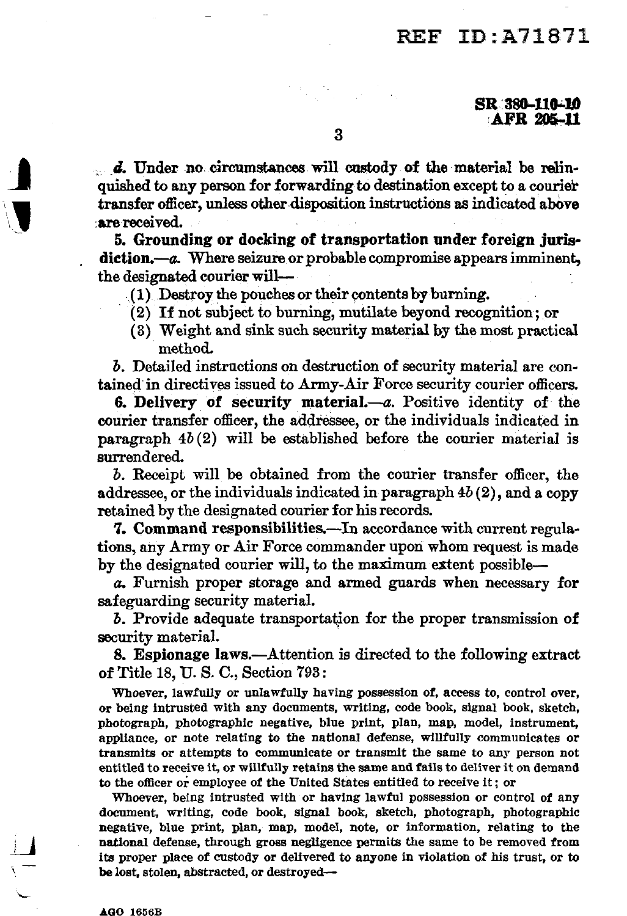# REF ID:A71871

 $\ldots$  d. Under no circumstances will custody of the material be relinquished to any person for forwarding to destination except to a courier transfer officer, unless other disposition instructions as indicated above :are received.

5. Grounding or docking of transportation under foreign jurls· diction.--a. Where seizure or probable compromise appears imminent. the designated courier will-

 $(1)$  Destroy the pouches or their contents by burning.

- $(2)$  If not subject to burning, mutilate beyond recognition; or
- ( 3} Weight and sink such security material by the most practical method.

*b.* Detailed instructions on destruction of security material are contained in directives issued to Army-Air Force security courier officers.

6. Delivery of security material. $-a$ . Positive identity of the courier transfer officer, the addressee, or the individuals indicated in paragraph  $4b(2)$  will be established before the courier material is surrendered.

*b.* Receipt will be obtained from the courier transfer officer, the addressee, or the individuals indicated in paragraph  $4b(2)$ , and a copy retained by the designated courier for his records.

7. Command responsibilities.—In accordance with current regulations, any Army or Air Force commander upori whom request is made by the designated courier will, to the maximum extent possible-

a. Furnish proper storage and armed guards when necessary for safeguarding security material.

**b.** Provide adequate transportation for the proper transmission of security material.

8. Espionage laws.--Attention is directed to the following extract of Title 18, U. S. C., Section 793:

Whoever, lawfully or unlawfully having possession of, access to, control over, or being lntrusted with any documents, writing, code book, signal book, sketch, photograph, photographic negative, blue print, plan, map, model, instrument, appliance, or note relating to the national defense, willfully communicates or transmits or attempts to communicate or transmit the same to any person not entitled to receive it, or willfully retains the same and fails to deliver it on demand to the officer or employee of the United States entitled to receive it; or

Whoever, being intrusted with or having lawful possession or control of any document, writing, code book, signal book, sketch, photograph, photographic negative, blue print, plan, map, model, note, or information, relating to the national defense, through gross negligence permits the same to be removed from its proper place of custody or delivered to anyone in violation of his trust, or to be lost, stolen, abstracted, or destroyed-

 $\blacksquare$ 

'\J